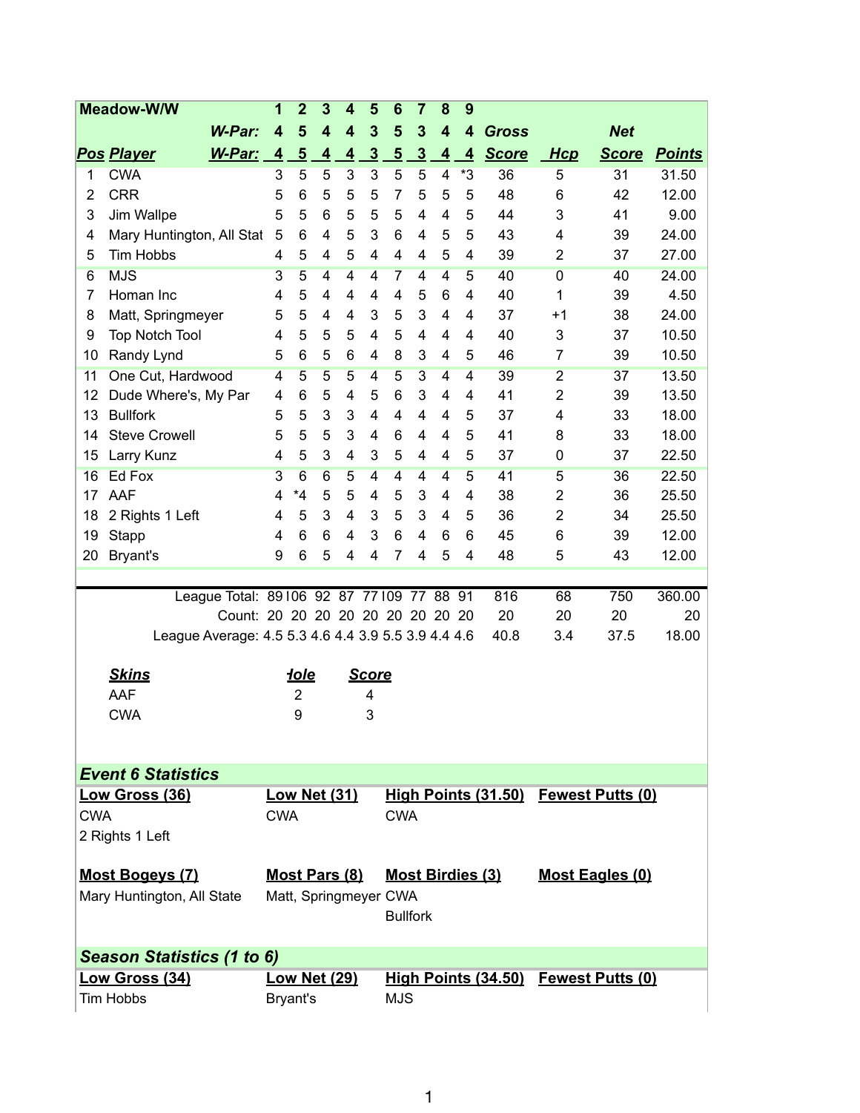| <b>Meadow-W/W</b>                                                             |                                                     |                | $\overline{2}$          | 3                       | 4              | 5              | 6              | $\overline{7}$          | 8                       | 9              |              |                                      |              |               |
|-------------------------------------------------------------------------------|-----------------------------------------------------|----------------|-------------------------|-------------------------|----------------|----------------|----------------|-------------------------|-------------------------|----------------|--------------|--------------------------------------|--------------|---------------|
|                                                                               | <b>W-Par:</b>                                       | 4              | 5                       | $\overline{\mathbf{4}}$ | 4              | 3              | 5              | 3                       | 4                       | 4              | <b>Gross</b> |                                      | <b>Net</b>   |               |
|                                                                               | <u>Pos Player</u><br>W-Par:                         | $\overline{4}$ | $\overline{5}$          | $\overline{4}$          | $\overline{4}$ | $\overline{3}$ | $\overline{5}$ | $\overline{3}$          | $\overline{\mathbf{4}}$ | $\overline{4}$ | <b>Score</b> | <b>Hcp</b>                           | <b>Score</b> | <b>Points</b> |
| 1                                                                             | <b>CWA</b>                                          | 3              | 5                       | 5                       | 3              | 3              | 5              | 5                       | $\overline{\mathbf{4}}$ | *3             | 36           | 5                                    | 31           | 31.50         |
| 2                                                                             | <b>CRR</b>                                          | 5              | 6                       | 5                       | 5              | 5              | 7              | 5                       | 5                       | 5              | 48           | 6                                    | 42           | 12.00         |
| 3                                                                             | Jim Wallpe                                          | 5              | 5                       | 6                       | 5              | 5              | 5              | 4                       | 4                       | 5              | 44           | 3                                    | 41           | 9.00          |
| 4                                                                             | Mary Huntington, All Stat                           | 5              | 6                       | 4                       | 5              | 3              | 6              | 4                       | 5                       | 5              | 43           | 4                                    | 39           | 24.00         |
| 5                                                                             | Tim Hobbs                                           | 4              | 5                       | 4                       | 5              | 4              | 4              | 4                       | 5                       | 4              | 39           | $\overline{2}$                       | 37           | 27.00         |
| 6                                                                             | <b>MJS</b>                                          | 3              | 5                       | $\overline{4}$          | 4              | $\overline{4}$ | 7              | $\overline{4}$          | $\overline{4}$          | $\overline{5}$ | 40           | $\overline{0}$                       | 40           | 24.00         |
| 7                                                                             | Homan Inc                                           | 4              | 5                       | 4                       | 4              | 4              | 4              | 5                       | 6                       | 4              | 40           | 1                                    | 39           | 4.50          |
| 8                                                                             | Matt, Springmeyer                                   | 5              | 5                       | 4                       | 4              | 3              | 5              | 3                       | 4                       | 4              | 37           | $+1$                                 | 38           | 24.00         |
| 9                                                                             | <b>Top Notch Tool</b>                               | 4              | 5                       | 5                       | 5              | 4              | 5              | 4                       | 4                       | 4              | 40           | 3                                    | 37           | 10.50         |
| 10                                                                            | Randy Lynd                                          | 5              | 6                       | 5                       | 6              | 4              | 8              | 3                       | 4                       | 5              | 46           | 7                                    | 39           | 10.50         |
| 11                                                                            | One Cut, Hardwood                                   | 4              | $\overline{5}$          | 5                       | 5              | $\overline{4}$ | $\overline{5}$ | $\overline{3}$          | $\overline{4}$          | $\overline{4}$ | 39           | $\overline{2}$                       | 37           | 13.50         |
| 12                                                                            | Dude Where's, My Par                                | 4              | 6                       | 5                       | 4              | 5              | 6              | 3                       | 4                       | 4              | 41           | 2                                    | 39           | 13.50         |
| 13                                                                            | <b>Bullfork</b>                                     | 5              | 5                       | 3                       | 3              | 4              | 4              | 4                       | 4                       | 5              | 37           | 4                                    | 33           | 18.00         |
| 14                                                                            | <b>Steve Crowell</b>                                | 5              | 5                       | 5                       | 3              | 4              | 6              | 4                       | 4                       | 5              | 41           | 8                                    | 33           | 18.00         |
| 15                                                                            | Larry Kunz                                          | 4              | 5                       | 3                       | 4              | 3              | 5              | 4                       | 4                       | 5              | 37           | 0                                    | 37           | 22.50         |
| 16                                                                            | Ed Fox                                              | $\overline{3}$ | $6\overline{6}$         | 6                       | 5              | 4              | $\overline{4}$ | 4                       | 4                       | 5              | 41           | 5                                    | 36           | 22.50         |
| 17                                                                            | AAF                                                 | 4              | *4                      | 5                       | 5              | 4              | 5              | 3                       | 4                       | 4              | 38           | $\overline{2}$                       | 36           | 25.50         |
| 18                                                                            | 2 Rights 1 Left                                     | 4              | 5                       | 3                       | 4              | 3              | 5              | 3                       | 4                       | 5              | 36           | 2                                    | 34           | 25.50         |
| 19                                                                            | Stapp                                               | 4              | 6                       | 6                       | 4              | 3              | 6              | 4                       | 6                       | 6              | 45           | 6                                    | 39           | 12.00         |
| 20                                                                            | Bryant's                                            | 9              | 6                       | 5                       | 4              | $\overline{4}$ | 7              | 4                       | 5                       | 4              | 48           | 5                                    | 43           | 12.00         |
|                                                                               |                                                     |                |                         |                         |                |                |                |                         |                         |                |              |                                      |              |               |
|                                                                               | League Total: 89106 92 87 77109                     |                |                         |                         |                |                |                | 77                      | 88                      | 91             | 816          | 68                                   | 750          | 360.00        |
|                                                                               | Count: 20 20 20 20 20 20 20 20 20                   |                |                         |                         |                |                |                |                         |                         |                | 20           | 20                                   | 20           | 20            |
|                                                                               | League Average: 4.5 5.3 4.6 4.4 3.9 5.5 3.9 4.4 4.6 |                |                         |                         |                |                |                |                         |                         |                | 40.8         | 3.4                                  | 37.5         | 18.00         |
|                                                                               |                                                     |                |                         |                         |                |                |                |                         |                         |                |              |                                      |              |               |
|                                                                               | <b>Skins</b>                                        |                | <b>Hole</b>             |                         |                | <b>Score</b>   |                |                         |                         |                |              |                                      |              |               |
|                                                                               | AAF                                                 |                | $\overline{\mathbf{c}}$ |                         |                | 4              |                |                         |                         |                |              |                                      |              |               |
|                                                                               | <b>CWA</b>                                          |                | 9                       |                         |                | 3              |                |                         |                         |                |              |                                      |              |               |
|                                                                               |                                                     |                |                         |                         |                |                |                |                         |                         |                |              |                                      |              |               |
|                                                                               |                                                     |                |                         |                         |                |                |                |                         |                         |                |              |                                      |              |               |
|                                                                               | <b>Event 6 Statistics</b>                           |                |                         |                         |                |                |                |                         |                         |                |              |                                      |              |               |
|                                                                               | <u> Low Gross (36)</u>                              |                | <b>Low Net (31)</b>     |                         |                |                |                |                         |                         |                |              | High Points (31.50) Fewest Putts (0) |              |               |
| <b>CWA</b><br>2 Rights 1 Left                                                 |                                                     |                | <b>CWA</b>              |                         |                |                |                | <b>CWA</b>              |                         |                |              |                                      |              |               |
|                                                                               |                                                     |                |                         |                         |                |                |                |                         |                         |                |              |                                      |              |               |
| <b>Most Bogeys (7)</b>                                                        |                                                     |                | Most Pars (8)           |                         |                |                |                | <b>Most Birdies (3)</b> |                         |                |              | <b>Most Eagles (0)</b>               |              |               |
| Mary Huntington, All State                                                    |                                                     |                | Matt, Springmeyer CWA   |                         |                |                |                |                         |                         |                |              |                                      |              |               |
|                                                                               |                                                     |                |                         |                         |                |                |                | <b>Bullfork</b>         |                         |                |              |                                      |              |               |
|                                                                               |                                                     |                |                         |                         |                |                |                |                         |                         |                |              |                                      |              |               |
| Season Statistics (1 to 6)                                                    |                                                     |                |                         |                         |                |                |                |                         |                         |                |              |                                      |              |               |
| Low Gross (34)<br><b>Low Net (29)</b><br>High Points (34.50) Fewest Putts (0) |                                                     |                |                         |                         |                |                |                |                         |                         |                |              |                                      |              |               |
| <b>Tim Hobbs</b>                                                              |                                                     |                | Bryant's                |                         |                |                |                | <b>MJS</b>              |                         |                |              |                                      |              |               |
|                                                                               |                                                     |                |                         |                         |                |                |                |                         |                         |                |              |                                      |              |               |